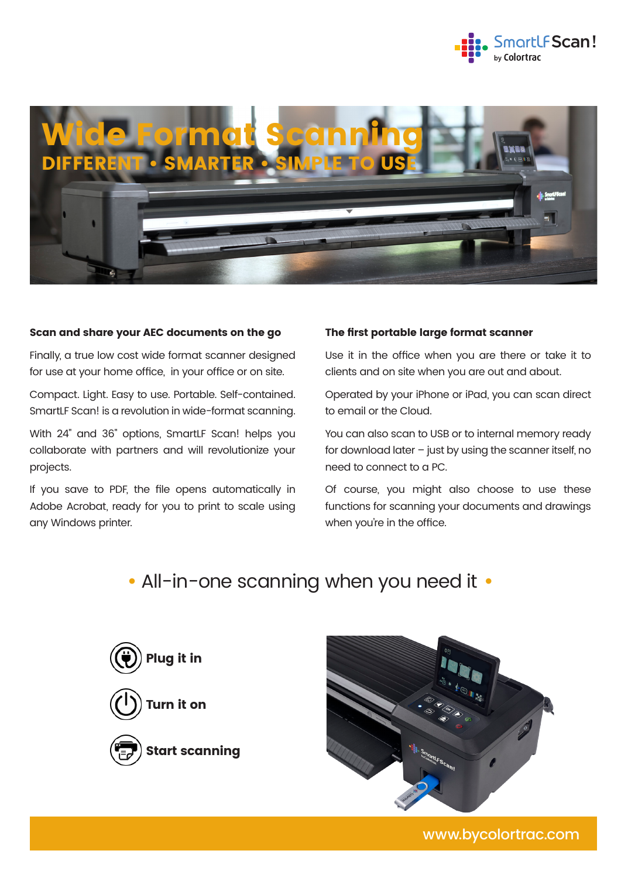



### Scan and share your AEC documents on the go

Finally, a true low cost wide format scanner designed for use at your home office, in your office or on site.

Compact. Light. Easy to use. Portable. Self-contained. SmartLF Scan! is a revolution in wide-format scanning.

With 24" and 36" options, SmartLF Scan! helps you collaborate with partners and will revolutionize your projects.

If you save to PDF, the file opens automatically in Adobe Acrobat, ready for you to print to scale using any Windows printer.

#### The first portable large format scanner

Use it in the office when you are there or take it to clients and on site when you are out and about.

Operated by your iPhone or iPad, you can scan direct to email or the Cloud.

You can also scan to USB or to internal memory ready for download later  $-$  just by using the scanner itself, no need to connect to a PC.

Of course, you might also choose to use these functions for scanning your documents and drawings when you're in the office.

# **•** All-in-one scanning when you need it **•**





www.bycolortrac.com